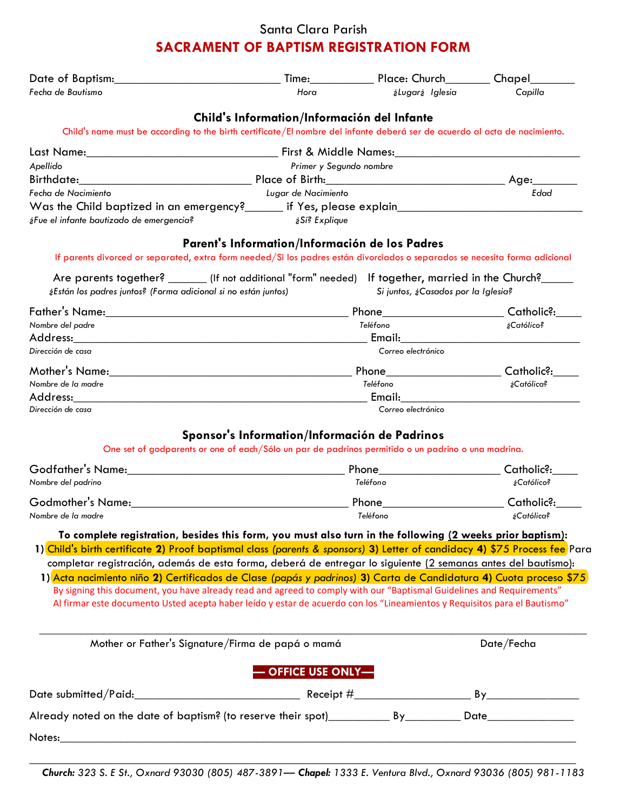# Santa Clara Parish **SACRAMENT OF BAPTISM REGISTRATION FORM**

|                                                                                                                                                                                                                                                                                                                                                                                                                                                                                                                                                                                                                                                                                                                                     |                                                | Time: Place: Church Chapel          |                                |  |  |
|-------------------------------------------------------------------------------------------------------------------------------------------------------------------------------------------------------------------------------------------------------------------------------------------------------------------------------------------------------------------------------------------------------------------------------------------------------------------------------------------------------------------------------------------------------------------------------------------------------------------------------------------------------------------------------------------------------------------------------------|------------------------------------------------|-------------------------------------|--------------------------------|--|--|
| Fecha de Bautismo                                                                                                                                                                                                                                                                                                                                                                                                                                                                                                                                                                                                                                                                                                                   | Hora                                           | ¿Lugar¿ Iglesia                     | Capilla                        |  |  |
| Child's name must be according to the birth certificate/El nombre del infante deberá ser de acuerdo al acta de nacimiento.                                                                                                                                                                                                                                                                                                                                                                                                                                                                                                                                                                                                          | Child's Information/Información del Infante    |                                     |                                |  |  |
|                                                                                                                                                                                                                                                                                                                                                                                                                                                                                                                                                                                                                                                                                                                                     |                                                |                                     |                                |  |  |
| Apellido                                                                                                                                                                                                                                                                                                                                                                                                                                                                                                                                                                                                                                                                                                                            | Primer y Segundo nombre                        |                                     |                                |  |  |
| Fecha de Nacimiento<br>¿Fue el infante bautizado de emergencia?                                                                                                                                                                                                                                                                                                                                                                                                                                                                                                                                                                                                                                                                     | Lugar de Nacimiento<br>¿Sí? Explique           |                                     |                                |  |  |
|                                                                                                                                                                                                                                                                                                                                                                                                                                                                                                                                                                                                                                                                                                                                     |                                                |                                     |                                |  |  |
| If parents divorced or separated, extra form needed/Si los padres están divorciados o separados se necesita forma adicional                                                                                                                                                                                                                                                                                                                                                                                                                                                                                                                                                                                                         | Parent's Information/Información de los Padres |                                     |                                |  |  |
|                                                                                                                                                                                                                                                                                                                                                                                                                                                                                                                                                                                                                                                                                                                                     |                                                |                                     |                                |  |  |
| Are parents together? ______ (If not additional "form" needed) If together, married in the Church?_____<br>¿Están los padres juntos? (Forma adicional si no están juntos)                                                                                                                                                                                                                                                                                                                                                                                                                                                                                                                                                           |                                                | Si juntos, ¿Casados por la Iglesia? |                                |  |  |
|                                                                                                                                                                                                                                                                                                                                                                                                                                                                                                                                                                                                                                                                                                                                     |                                                |                                     |                                |  |  |
| Nombre del padre                                                                                                                                                                                                                                                                                                                                                                                                                                                                                                                                                                                                                                                                                                                    |                                                | Teléfono                            | ¿Católico?                     |  |  |
| Dirección de casa                                                                                                                                                                                                                                                                                                                                                                                                                                                                                                                                                                                                                                                                                                                   |                                                | Correo electrónico                  |                                |  |  |
|                                                                                                                                                                                                                                                                                                                                                                                                                                                                                                                                                                                                                                                                                                                                     |                                                |                                     |                                |  |  |
| Nombre de la madre                                                                                                                                                                                                                                                                                                                                                                                                                                                                                                                                                                                                                                                                                                                  |                                                | Teléfono                            | Phone Catholic?:<br>¿Católica? |  |  |
|                                                                                                                                                                                                                                                                                                                                                                                                                                                                                                                                                                                                                                                                                                                                     |                                                |                                     |                                |  |  |
| Dirección de casa                                                                                                                                                                                                                                                                                                                                                                                                                                                                                                                                                                                                                                                                                                                   |                                                | Correo electrónico                  |                                |  |  |
| One set of godparents or one of each/Sólo un par de padrinos permitido o un padrino o una madrina.                                                                                                                                                                                                                                                                                                                                                                                                                                                                                                                                                                                                                                  | Sponsor's Information/Información de Padrinos  |                                     |                                |  |  |
| Godfather's Name: Engineering and the Codfather's Name:                                                                                                                                                                                                                                                                                                                                                                                                                                                                                                                                                                                                                                                                             |                                                | Phone Catholic?:                    |                                |  |  |
| Nombre del padrino                                                                                                                                                                                                                                                                                                                                                                                                                                                                                                                                                                                                                                                                                                                  |                                                | Teléfono                            | ¿Católico?                     |  |  |
| Godmother's Name: The contract of the contract of the contract of the contract of the contract of the contract of the contract of the contract of the contract of the contract of the contract of the contract of the contract                                                                                                                                                                                                                                                                                                                                                                                                                                                                                                      |                                                | Phone                               | Catholic?:                     |  |  |
| Nombre de la madre                                                                                                                                                                                                                                                                                                                                                                                                                                                                                                                                                                                                                                                                                                                  |                                                | Teléfono                            | ¿Católica?                     |  |  |
| To complete registration, besides this form, you must also turn in the following (2 weeks prior baptism):<br>1) Child's birth certificate 2) Proof baptismal class (parents & sponsors) 3) Letter of candidacy 4) \$75 Process fee Para<br>completar registración, además de esta forma, deberá de entregar lo siguiente (2 semanas antes del bautismo):<br>1) Acta nacimiento niño 2) Certificados de Clase (papás y padrinos) 3) Carta de Candidatura 4) Cuota proceso \$75<br>By signing this document, you have already read and agreed to comply with our "Baptismal Guidelines and Requirements"<br>Al firmar este documento Usted acepta haber leído y estar de acuerdo con los "Lineamientos y Requisitos para el Bautismo" |                                                |                                     |                                |  |  |
| Mother or Father's Signature/Firma de papá o mamá                                                                                                                                                                                                                                                                                                                                                                                                                                                                                                                                                                                                                                                                                   |                                                |                                     | Date/Fecha                     |  |  |
|                                                                                                                                                                                                                                                                                                                                                                                                                                                                                                                                                                                                                                                                                                                                     | - OFFICE USE ONLY-                             |                                     |                                |  |  |
|                                                                                                                                                                                                                                                                                                                                                                                                                                                                                                                                                                                                                                                                                                                                     |                                                |                                     |                                |  |  |
|                                                                                                                                                                                                                                                                                                                                                                                                                                                                                                                                                                                                                                                                                                                                     |                                                |                                     |                                |  |  |
|                                                                                                                                                                                                                                                                                                                                                                                                                                                                                                                                                                                                                                                                                                                                     |                                                |                                     |                                |  |  |
|                                                                                                                                                                                                                                                                                                                                                                                                                                                                                                                                                                                                                                                                                                                                     |                                                |                                     |                                |  |  |
|                                                                                                                                                                                                                                                                                                                                                                                                                                                                                                                                                                                                                                                                                                                                     |                                                |                                     |                                |  |  |

*Church: 323 S. E St., Oxnard 93030 (805) 487-3891— Chapel: 1333 E. Ventura Blvd., Oxnard 93036 (805) 981-1183*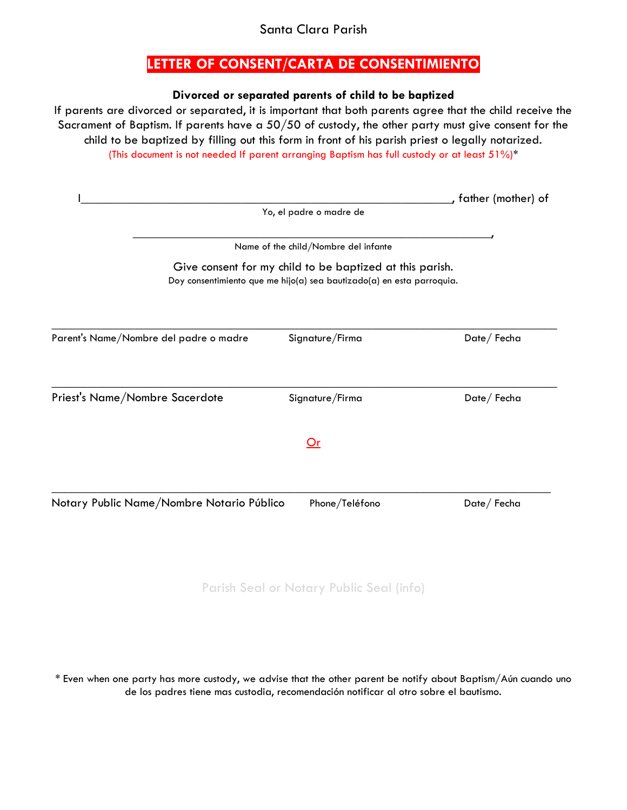### Santa Clara Parish

# **LETTER OF CONSENT/CARTA DE CONSENTIMIENTO**

### **Divorced or separated parents of child to be baptized**

If parents are divorced or separated, it is important that both parents agree that the child receive the Sacrament of Baptism. If parents have a 50/50 of custody, the other party must give consent for the child to be baptized by filling out this form in front of his parish priest o legally notarized. (This document is not needed If parent arranging Baptism has full custody or at least 51%)\*

|                                                                 | , father (mother) of |  |  |  |
|-----------------------------------------------------------------|----------------------|--|--|--|
| Yo, el padre o madre de<br>Name of the child/Nombre del infante |                      |  |  |  |
|                                                                 |                      |  |  |  |
| Signature/Firma                                                 | Date/Fecha           |  |  |  |
| Signature/Firma                                                 | Date/Fecha           |  |  |  |
| <u> Or</u>                                                      |                      |  |  |  |
| Phone/Teléfono                                                  | Date/Fecha           |  |  |  |
|                                                                 |                      |  |  |  |

Parish Seal or Notary Public Seal (info)

\* Even when one party has more custody, we advise that the other parent be notify about Baptism/Aún cuando uno de los padres tiene mas custodia, recomendación notificar al otro sobre el bautismo.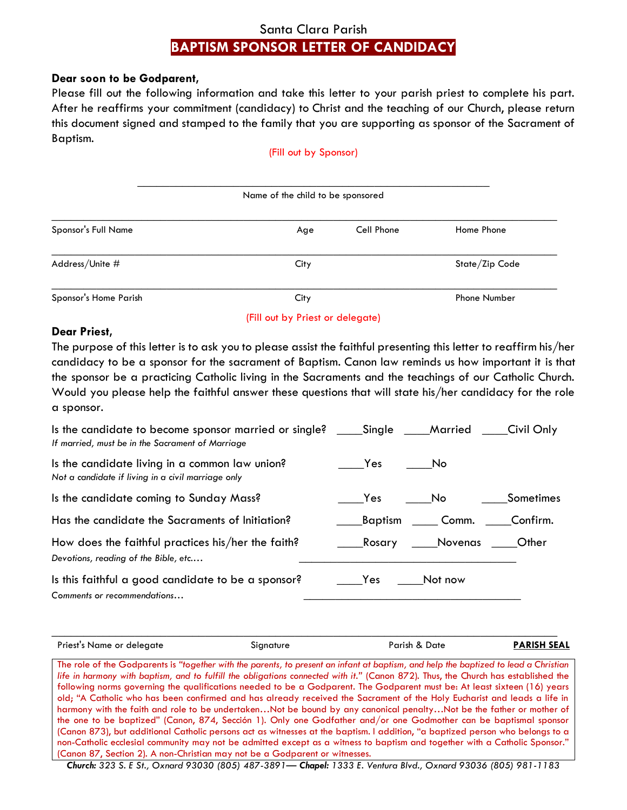### Santa Clara Parish **BAPTISM SPONSOR LETTER OF CANDIDACY**

#### **Dear soon to be Godparent,**

Please fill out the following information and take this letter to your parish priest to complete his part. After he reaffirms your commitment (candidacy) to Christ and the teaching of our Church, please return this document signed and stamped to the family that you are supporting as sponsor of the Sacrament of Baptism.

#### (Fill out by Sponsor)

|                       | Name of the child to be sponsored |            |                     |  |  |
|-----------------------|-----------------------------------|------------|---------------------|--|--|
| Sponsor's Full Name   | Age                               | Cell Phone | Home Phone          |  |  |
| Address/Unite #       | City                              |            | State/Zip Code      |  |  |
| Sponsor's Home Parish | City                              |            | <b>Phone Number</b> |  |  |

#### **Dear Priest,**

The purpose of this letter is to ask you to please assist the faithful presenting this letter to reaffirm his/her candidacy to be a sponsor for the sacrament of Baptism. Canon law reminds us how important it is that the sponsor be a practicing Catholic living in the Sacraments and the teachings of our Catholic Church. Would you please help the faithful answer these questions that will state his/her candidacy for the role a sponsor.

(Fill out by Priest or delegate)

| Is the candidate to become sponsor married or single? ___________________________<br>If married, must be in the Sacrament of Marriage |         |         | Civil Only |
|---------------------------------------------------------------------------------------------------------------------------------------|---------|---------|------------|
| Is the candidate living in a common law union?<br>Not a candidate if living in a civil marriage only                                  | Yes     | No      |            |
| Is the candidate coming to Sunday Mass?                                                                                               | Yes     | Mo      | Sometimes  |
| Has the candidate the Sacraments of Initiation?                                                                                       | Baptism | Comm.   | Confirm.   |
| How does the faithful practices his/her the faith?<br>Devotions, reading of the Bible, etc                                            | Rosary  | Novenas | Other      |
| Is this faithful a good candidate to be a sponsor?<br>Comments or recommendations                                                     | Yes     | Not now |            |

*\_\_\_\_\_\_\_\_\_\_\_\_\_\_\_\_\_\_\_\_\_\_\_\_\_\_\_\_\_\_\_\_\_\_\_\_\_\_\_\_\_\_\_\_\_\_\_\_\_\_\_\_\_\_\_\_\_\_\_\_\_\_\_\_\_\_\_\_\_\_\_\_\_\_\_\_\_\_\_* Priest's Name or delegate **Access of ARISH SEAL** Signature **Parish & Date** Parish & Date **PARISH SEAL** 

The role of the Godparents is *"together with the parents, to present an infant at baptism, and help the baptized to lead a Christian life in harmony with baptism, and to fulfill the obligations connected with it." (Canon 872)*. Thus, the Church has established the following norms governing the qualifications needed to be a Godparent. The Godparent must be: At least sixteen (16) years old; "A Catholic who has been confirmed and has already received the Sacrament of the Holy Eucharist and leads a life in harmony with the faith and role to be undertaken…Not be bound by any canonical penalty…Not be the father or mother of the one to be baptized" (Canon, 874, Sección 1). Only one Godfather and/or one Godmother can be baptismal sponsor (Canon 873), but additional Catholic persons act as witnesses at the baptism. I addition, "a baptized person who belongs to a non-Catholic ecclesial community may not be admitted except as a witness to baptism and together with a Catholic Sponsor." (Canon 87, Section 2). A non-Christian may not be a Godparent or witnesses.

*Church: 323 S. E St., Oxnard 93030 (805) 487-3891— Chapel: 1333 E. Ventura Blvd., Oxnard 93036 (805) 981-1183*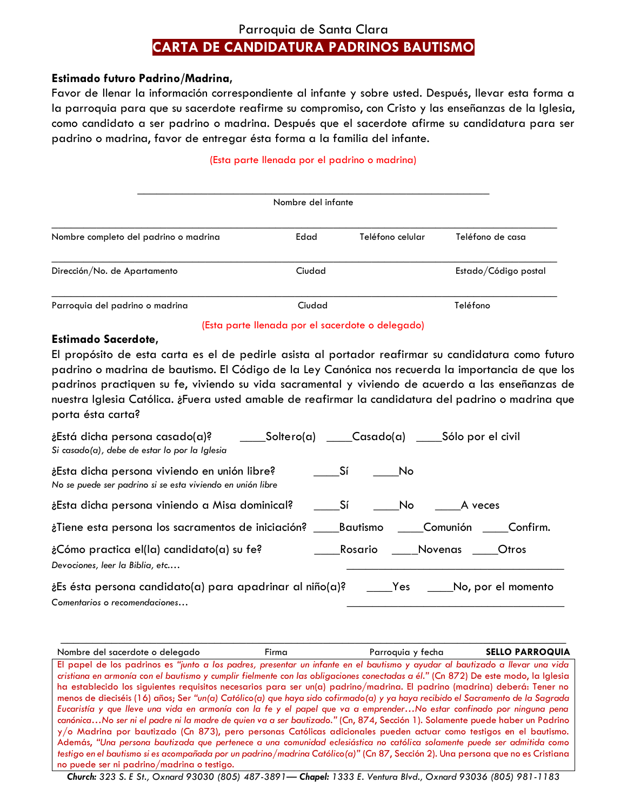# Parroquia de Santa Clara **CARTA DE CANDIDATURA PADRINOS BAUTISMO**

#### **Estimado futuro Padrino/Madrina,**

Favor de llenar la información correspondiente al infante y sobre usted. Después, llevar esta forma a la parroquia para que su sacerdote reafirme su compromiso, con Cristo y las enseñanzas de la Iglesia, como candidato a ser padrino o madrina. Después que el sacerdote afirme su candidatura para ser padrino o madrina, favor de entregar ésta forma a la familia del infante.

#### (Esta parte llenada por el padrino o madrina)

|                                       | Nombre del infante |                  |                      |  |  |  |
|---------------------------------------|--------------------|------------------|----------------------|--|--|--|
| Nombre completo del padrino o madrina | Edad               | Teléfono celular | Teléfono de casa     |  |  |  |
| Dirección/No. de Apartamento          | Ciudad             |                  | Estado/Código postal |  |  |  |
| Parroquia del padrino o madrina       | Ciudad             |                  | Teléfono             |  |  |  |

#### (Esta parte llenada por el sacerdote o delegado)

#### **Estimado Sacerdote,**

El propósito de esta carta es el de pedirle asista al portador reafirmar su candidatura como futuro padrino o madrina de bautismo. El Código de la Ley Canónica nos recuerda la importancia de que los padrinos practiquen su fe, viviendo su vida sacramental y viviendo de acuerdo a las enseñanzas de nuestra Iglesia Católica. ¿Fuera usted amable de reafirmar la candidatura del padrino o madrina que porta ésta carta?

| Si casado(a), debe de estar lo por la Iglesia                                                                                   |                       |
|---------------------------------------------------------------------------------------------------------------------------------|-----------------------|
| ¿Esta dicha persona viviendo en unión libre?<br>No se puede ser padrino si se esta viviendo en unión libre                      | i Sí<br>No.           |
| <i>Esta dicha persona viniendo a Misa dominical?</i> Sí Si No A veces                                                           |                       |
| ¿Tiene esta persona los sacramentos de iniciación? _____Bautismo _____Comunión                                                  | Confirm.              |
| ¿Cómo practica el(la) candidato(a) su fe?<br>Devociones, leer la Biblia, etc                                                    | Rosario Novenas Otros |
| $\xi$ Es ésta persona candidato(a) para apadrinar al niño(a)? _____Yes _____No, por el momento<br>Comentarios o recomendaciones |                       |

| Nombre del sacerdote o delegado | ⊦irma | Parroquia y techa | <b>SELLO PARROQUIA</b> |
|---------------------------------|-------|-------------------|------------------------|

El papel de los padrinos es *"junto a los padres, presentar un infante en el bautismo y ayudar al bautizado a llevar una vida cristiana en armonía con el bautismo y cumplir fielmente con las obligaciones conectadas a él."* (Cn 872) De este modo, la Iglesia ha establecido los siguientes requisitos necesarios para ser un(a) padrino/madrina. El padrino (madrina) deberá: Tener no menos de dieciséis (16) años; Ser *"un(a) Católico(a) que haya sido cofirmado(a) y ya haya recibido el Sacramento de la Sagrada Eucaristía y que lleve una vida en armonía con la fe y el papel que va a emprender…No estar confinado por ninguna pena canónica…No ser ni el padre ni la madre de quien va a ser bautizado."* (Cn, 874, Sección 1). Solamente puede haber un Padrino y/o Madrina por bautizado (Cn 873), pero personas Católicas adicionales pueden actuar como testigos en el bautismo. Además, *"Una persona bautizada que pertenece a una comunidad eclesiástica no católica solamente puede ser admitida como testigo en el bautismo si es acompañada por un padrino/madrina Católico(a)" (Cn 87, Sección 2). Una persona que no es Cristiana* no puede ser ni padrino/madrina o testigo.

*Church: 323 S. E St., Oxnard 93030 (805) 487-3891— Chapel: 1333 E. Ventura Blvd., Oxnard 93036 (805) 981-1183*